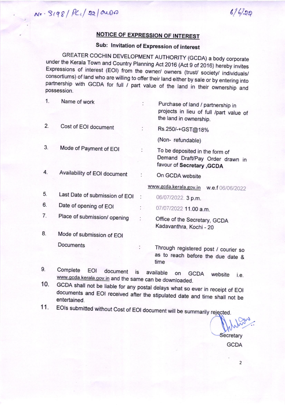$6/6/29$ 

## <u>OTICE OF EXPRESSION OF INTEREST</u>

## Sub: lnvitation of Expression of interest

GREATER COCHIN DEVELOPMENT AUTHORITY (GCDA) a body corporate under the Kerala Town and Country Planning Act 2016 (Act 9 of 2016) hereby invites Expressions of interest (EOI) from the owner/ owners (trust/ society/ individuals/ consortiums) of land who are willing to offer their land either by sale or by entering into partnership with GCDA for full / part value of the land in their ownership and possession.

| 1. | Name of work                   |                      | Purchase of land / partnership in<br>projects in lieu of full /part value of<br>the land in ownership. |
|----|--------------------------------|----------------------|--------------------------------------------------------------------------------------------------------|
| 2. | Cost of EOI document           |                      | Rs.250/-+GST@18%                                                                                       |
|    |                                |                      | (Non-refundable)                                                                                       |
| 3. | Mode of Payment of EOI         |                      | To be deposited in the form of<br>Demand Draft/Pay Order drawn in<br>favour of Secretary , GCDA        |
| 4. | Availability of EOI document   |                      | On GCDA website                                                                                        |
|    |                                |                      | www.gcda.kerala.gov.in w.e.f 06/06/2022                                                                |
| 5. | Last Date of submission of EOI | $\ddot{\phantom{a}}$ | 06/07/2022. 3 p.m.                                                                                     |
| 6. | Date of opening of EOI         | $\cdot$ .            | 07/07/2022 11.00 a.m.                                                                                  |
| 7. | Place of submission/ opening   |                      | Office of the Secretary, GCDA<br>Kadavanthra, Kochi - 20                                               |
| 8. | Mode of submission of EOI      |                      |                                                                                                        |
|    | Documents                      |                      | Through registered post / courier so<br>as to reach before the due date &<br>time                      |

10.  $9.$ Complete EOI document is available on GCDA website i.e.<br>www.gcda.kerala.gov.in and the same can be downloaded.

GCDA shall not be liable for any postal delays what so ever in receipt of EOI documents and EOI received after the stipulated date and time shall not be entertained.

11. EOIs submitted without Cost of EOI document will be summarily rejected.

**Secretary GCDA**